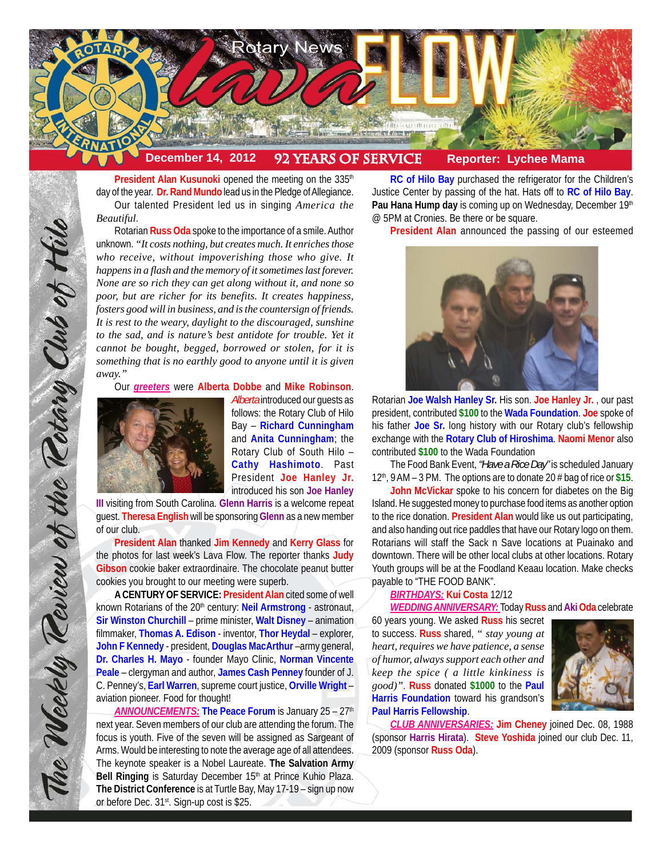

President Alan Kusunoki opened the meeting on the 335<sup>th</sup> day of the year. **Dr. Rand Mundo** lead us in the Pledge of Allegiance. Our talented President led us in singing *America the Beautiful*.

Rotarian **Russ Oda** spoke to the importance of a smile. Author unknown. *"It costs nothing, but creates much. It enriches those who receive, without impoverishing those who give. It happens in a flash and the memory of it sometimes last forever. None are so rich they can get along without it, and none so poor, but are richer for its benefits. It creates happiness, fosters good will in business, and is the countersign of friends. It is rest to the weary, daylight to the discouraged, sunshine to the sad, and is nature's best antidote for trouble. Yet it cannot be bought, begged, borrowed or stolen, for it is something that is no earthly good to anyone until it is given away."*

Our *greeters* were **Alberta Dobbe** and **Mike Robinson**.



*Alberta* introduced our guests as follows: the Rotary Club of Hilo Bay – **Richard Cunningham** and **Anita Cunningham**; the Rotary Club of South Hilo – **Cathy Hashimoto**. Past President **Joe Hanley Jr.** introduced his son **Joe Hanley**

**III** visiting from South Carolina. **Glenn Harris** is a welcome repeat guest. **Theresa English** will be sponsoring **Glenn** as a new member of our club.

**President Alan** thanked **Jim Kennedy** and **Kerry Glass** for the photos for last week's Lava Flow. The reporter thanks **Judy Gibson** cookie baker extraordinaire. The chocolate peanut butter cookies you brought to our meeting were superb.

**A CENTURY OF SERVICE: President Alan** cited some of well known Rotarians of the 20<sup>th</sup> century: Neil Armstrong - astronaut, **Sir Winston Churchill** – prime minister, **Walt Disney** – animation filmmaker, **Thomas A. Edison** - inventor, **Thor Heydal** – explorer, **John F Kennedy** - president, **Douglas MacArthur** –army general, **Dr. Charles H. Mayo** - founder Mayo Clinic, **Norman Vincente Peale** – clergyman and author, **James Cash Penney** founder of J. C. Penney's, **Earl Warren**, supreme court justice, **Orville Wright** – aviation pioneer. Food for thought!

**ANNOUNCEMENTS: The Peace Forum** is January 25 – 27<sup>th</sup> next year. Seven members of our club are attending the forum. The focus is youth. Five of the seven will be assigned as Sargeant of Arms. Would be interesting to note the average age of all attendees. The keynote speaker is a Nobel Laureate. **The Salvation Army** Bell Ringing is Saturday December 15<sup>th</sup> at Prince Kuhio Plaza. **The District Conference** is at Turtle Bay, May 17-19 – sign up now or before Dec. 31<sup>st</sup>. Sign-up cost is \$25.

**RC of Hilo Bay** purchased the refrigerator for the Children's Justice Center by passing of the hat. Hats off to **RC of Hilo Bay**. Pau Hana Hump day is coming up on Wednesday, December 19th @ 5PM at Cronies. Be there or be square.

**President Alan** announced the passing of our esteemed



Rotarian **Joe Walsh Hanley Sr.** His son. **Joe Hanley Jr.** , our past president, contributed **\$100** to the **Wada Foundation**. **Joe** spoke of his father **Joe Sr.** long history with our Rotary club's fellowship exchange with the **Rotary Club of Hiroshima**. **Naomi Menor** also contributed **\$100** to the Wada Foundation

The Food Bank Event, *"Have a Rice Day"* is scheduled January 12th, 9 AM – 3 PM. The options are to donate 20 # bag of rice or **\$15**.

**John McVickar** spoke to his concern for diabetes on the Big Island. He suggested money to purchase food items as another option to the rice donation. **President Alan** would like us out participating, and also handing out rice paddles that have our Rotary logo on them. Rotarians will staff the Sack n Save locations at Puainako and downtown. There will be other local clubs at other locations. Rotary Youth groups will be at the Foodland Keaau location. Make checks payable to "THE FOOD BANK".

# *BIRTHDAYS:* **Kui Costa** 12/12

*WEDDING ANNIVERSARY:* Today **Russ** and **Aki Oda** celebrate

60 years young. We asked **Russ** his secret to success. **Russ** shared, *" stay young at heart, requires we have patience, a sense of humor, always support each other and keep the spice ( a little kinkiness is good)"*. **Russ** donated **\$1000** to the **Paul Harris Foundation** toward his grandson's **Paul Harris Fellowship**.



*CLUB ANNIVERSARIES:* **Jim Cheney** joined Dec. 08, 1988 (sponsor **Harris Hirata**). **Steve Yoshida** joined our club Dec. 11, 2009 (sponsor **Russ Oda**).

The Weekly Review of the Rotary Club of Hilo